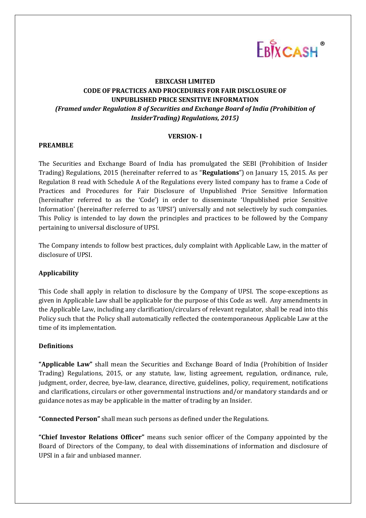

# **EBIXCASH LIMITED CODE OF PRACTICES AND PROCEDURES FOR FAIR DISCLOSURE OF UNPUBLISHED PRICE SENSITIVE INFORMATION** *(Framed under Regulation 8 of Securities and Exchange Board of India (Prohibition of InsiderTrading) Regulations, 2015)*

## **VERSION- I**

## **PREAMBLE**

The Securities and Exchange Board of India has promulgated the SEBI (Prohibition of Insider Trading) Regulations, 2015 (hereinafter referred to as "**Regulations**") on January 15, 2015. As per Regulation 8 read with Schedule A of the Regulations every listed company has to frame a Code of Practices and Procedures for Fair Disclosure of Unpublished Price Sensitive Information (hereinafter referred to as the 'Code') in order to disseminate 'Unpublished price Sensitive Information' (hereinafter referred to as 'UPSI') universally and not selectively by such companies. This Policy is intended to lay down the principles and practices to be followed by the Company pertaining to universal disclosure of UPSI.

The Company intends to follow best practices, duly complaint with Applicable Law, in the matter of disclosure of UPSI.

# **Applicability**

This Code shall apply in relation to disclosure by the Company of UPSI. The scope-exceptions as given in Applicable Law shall be applicable for the purpose of this Code as well. Any amendments in the Applicable Law, including any clarification/circulars of relevant regulator, shall be read into this Policy such that the Policy shall automatically reflected the contemporaneous Applicable Law at the time of its implementation.

# **Definitions**

**"Applicable Law"** shall mean the Securities and Exchange Board of India (Prohibition of Insider Trading) Regulations, 2015, or any statute, law, listing agreement, regulation, ordinance, rule, judgment, order, decree, bye-law, clearance, directive, guidelines, policy, requirement, notifications and clarifications, circulars or other governmental instructions and/or mandatory standards and or guidance notes as may be applicable in the matter of trading by an Insider.

**"Connected Person"** shall mean such persons as defined under the Regulations.

**"Chief Investor Relations Officer"** means such senior officer of the Company appointed by the Board of Directors of the Company, to deal with disseminations of information and disclosure of UPSI in a fair and unbiased manner.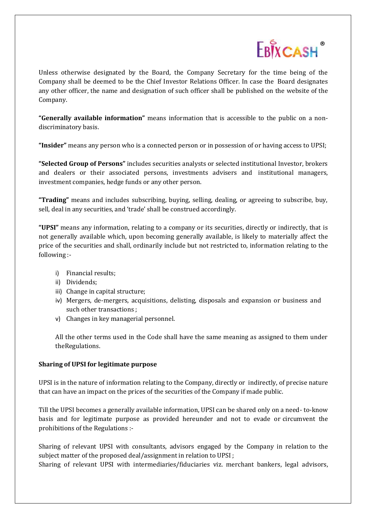

Unless otherwise designated by the Board, the Company Secretary for the time being of the Company shall be deemed to be the Chief Investor Relations Officer. In case the Board designates any other officer, the name and designation of such officer shall be published on the website of the Company.

**"Generally available information"** means information that is accessible to the public on a nondiscriminatory basis.

**"Insider"** means any person who is a connected person or in possession of or having access to UPSI;

**"Selected Group of Persons"** includes securities analysts or selected institutional Investor, brokers and dealers or their associated persons, investments advisers and institutional managers, investment companies, hedge funds or any other person.

**"Trading"** means and includes subscribing, buying, selling, dealing, or agreeing to subscribe, buy, sell, deal in any securities, and 'trade' shall be construed accordingly.

**"UPSI"** means any information, relating to a company or its securities, directly or indirectly, that is not generally available which, upon becoming generally available, is likely to materially affect the price of the securities and shall, ordinarily include but not restricted to, information relating to the following :-

- i) Financial results;
- ii) Dividends;
- iii) Change in capital structure;
- iv) Mergers, de-mergers, acquisitions, delisting, disposals and expansion or business and such other transactions ;
- v) Changes in key managerial personnel.

All the other terms used in the Code shall have the same meaning as assigned to them under theRegulations.

# **Sharing of UPSI for legitimate purpose**

UPSI is in the nature of information relating to the Company, directly or indirectly, of precise nature that can have an impact on the prices of the securities of the Company if made public.

Till the UPSI becomes a generally available information, UPSI can be shared only on a need- to-know basis and for legitimate purpose as provided hereunder and not to evade or circumvent the prohibitions of the Regulations :-

Sharing of relevant UPSI with consultants, advisors engaged by the Company in relation to the subject matter of the proposed deal/assignment in relation to UPSI ;

Sharing of relevant UPSI with intermediaries/fiduciaries viz. merchant bankers, legal advisors,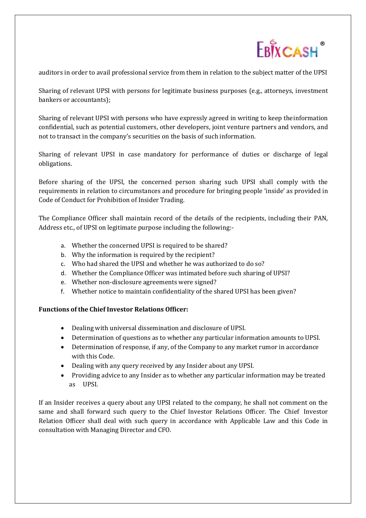

auditors in order to avail professional service from them in relation to the subject matter of the UPSI

Sharing of relevant UPSI with persons for legitimate business purposes (e.g., attorneys, investment bankers or accountants);

Sharing of relevant UPSI with persons who have expressly agreed in writing to keep theinformation confidential, such as potential customers, other developers, joint venture partners and vendors, and not to transact in the company's securities on the basis of such information.

Sharing of relevant UPSI in case mandatory for performance of duties or discharge of legal obligations.

Before sharing of the UPSI, the concerned person sharing such UPSI shall comply with the requirements in relation to circumstances and procedure for bringing people 'inside' as provided in Code of Conduct for Prohibition of Insider Trading.

The Compliance Officer shall maintain record of the details of the recipients, including their PAN, Address etc., of UPSI on legitimate purpose including the following:-

- a. Whether the concerned UPSI is required to be shared?
- b. Why the information is required by the recipient?
- c. Who had shared the UPSI and whether he was authorized to do so?
- d. Whether the Compliance Officer was intimated before such sharing of UPSI?
- e. Whether non-disclosure agreements were signed?
- f. Whether notice to maintain confidentiality of the shared UPSI has been given?

# **Functions of the Chief Investor Relations Officer:**

- Dealing with universal dissemination and disclosure of UPSI.
- Determination of questions as to whether any particular information amounts to UPSI.
- Determination of response, if any, of the Company to any market rumor in accordance with this Code.
- Dealing with any query received by any Insider about any UPSI.
- Providing advice to any Insider as to whether any particular information may be treated as UPSI.

If an Insider receives a query about any UPSI related to the company, he shall not comment on the same and shall forward such query to the Chief Investor Relations Officer. The Chief Investor Relation Officer shall deal with such query in accordance with Applicable Law and this Code in consultation with Managing Director and CFO.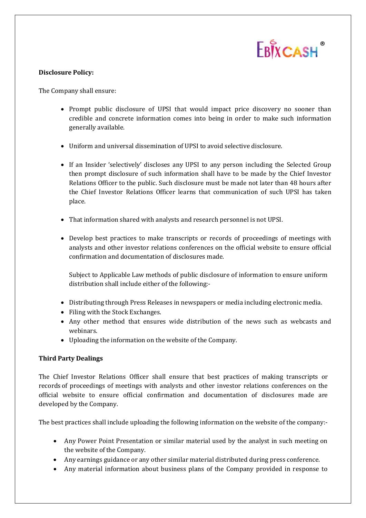

## **Disclosure Policy:**

The Company shall ensure:

- Prompt public disclosure of UPSI that would impact price discovery no sooner than credible and concrete information comes into being in order to make such information generally available.
- Uniform and universal dissemination of UPSI to avoid selective disclosure.
- If an Insider 'selectively' discloses any UPSI to any person including the Selected Group then prompt disclosure of such information shall have to be made by the Chief Investor Relations Officer to the public. Such disclosure must be made not later than 48 hours after the Chief Investor Relations Officer learns that communication of such UPSI has taken place.
- That information shared with analysts and research personnel is not UPSI.
- Develop best practices to make transcripts or records of proceedings of meetings with analysts and other investor relations conferences on the official website to ensure official confirmation and documentation of disclosures made.

Subject to Applicable Law methods of public disclosure of information to ensure uniform distribution shall include either of the following:-

- Distributing through Press Releases in newspapers or media including electronic media.
- Filing with the Stock Exchanges.
- Any other method that ensures wide distribution of the news such as webcasts and webinars.
- Uploading the information on the website of the Company.

# **Third Party Dealings**

The Chief Investor Relations Officer shall ensure that best practices of making transcripts or records of proceedings of meetings with analysts and other investor relations conferences on the official website to ensure official confirmation and documentation of disclosures made are developed by the Company.

The best practices shall include uploading the following information on the website of the company:-

- Any Power Point Presentation or similar material used by the analyst in such meeting on the website of the Company.
- Any earnings guidance or any other similar material distributed during press conference.
- Any material information about business plans of the Company provided in response to